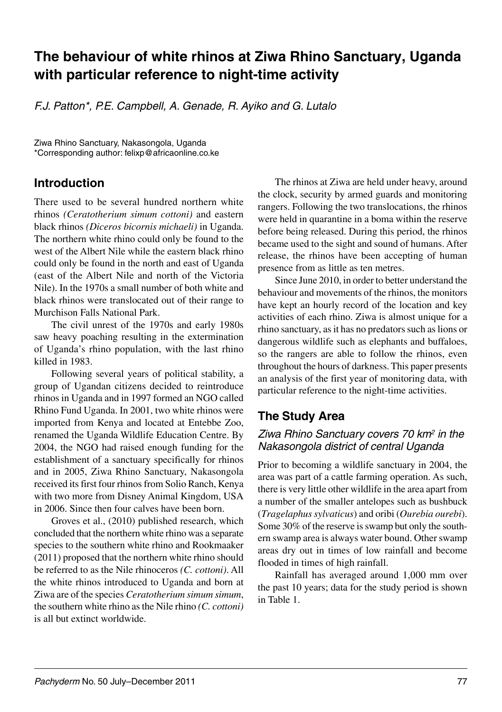# **The behaviour of white rhinos at Ziwa Rhino Sanctuary, Uganda with particular reference to night-time activity**

*F.J. Patton\*, P.E. Campbell, A. Genade, R. Ayiko and G. Lutalo* 

Ziwa Rhino Sanctuary, Nakasongola, Uganda \*Corresponding author: felixp@africaonline.co.ke

## **Introduction**

There used to be several hundred northern white rhinos *(Ceratotherium simum cottoni)* and eastern black rhinos *(Diceros bicornis michaeli)* in Uganda. The northern white rhino could only be found to the west of the Albert Nile while the eastern black rhino could only be found in the north and east of Uganda (east of the Albert Nile and north of the Victoria Nile). In the 1970s a small number of both white and black rhinos were translocated out of their range to Murchison Falls National Park.

The civil unrest of the 1970s and early 1980s saw heavy poaching resulting in the extermination of Uganda's rhino population, with the last rhino killed in 1983.

Following several years of political stability, a group of Ugandan citizens decided to reintroduce rhinos in Uganda and in 1997 formed an NGO called Rhino Fund Uganda. In 2001, two white rhinos were imported from Kenya and located at Entebbe Zoo, renamed the Uganda Wildlife Education Centre. By 2004, the NGO had raised enough funding for the establishment of a sanctuary specifically for rhinos and in 2005, Ziwa Rhino Sanctuary, Nakasongola received its first four rhinos from Solio Ranch, Kenya with two more from Disney Animal Kingdom, USA in 2006. Since then four calves have been born.

Groves et al., (2010) published research, which concluded that the northern white rhino was a separate species to the southern white rhino and Rookmaaker (2011) proposed that the northern white rhino should be referred to as the Nile rhinoceros *(C. cottoni)*. All the white rhinos introduced to Uganda and born at Ziwa are of the species *Ceratotherium simum simum*, the southern white rhino as the Nile rhino *(C. cottoni)* is all but extinct worldwide.

The rhinos at Ziwa are held under heavy, around the clock, security by armed guards and monitoring rangers. Following the two translocations, the rhinos were held in quarantine in a boma within the reserve before being released. During this period, the rhinos became used to the sight and sound of humans. After release, the rhinos have been accepting of human presence from as little as ten metres.

Since June 2010, in order to better understand the behaviour and movements of the rhinos, the monitors have kept an hourly record of the location and key activities of each rhino. Ziwa is almost unique for a rhino sanctuary, as it has no predators such as lions or dangerous wildlife such as elephants and buffaloes, so the rangers are able to follow the rhinos, even throughout the hours of darkness. This paper presents an analysis of the first year of monitoring data, with particular reference to the night-time activities.

## **The Study Area**

#### *Ziwa Rhino Sanctuary covers 70 km2 in the Nakasongola district of central Uganda*

Prior to becoming a wildlife sanctuary in 2004, the area was part of a cattle farming operation. As such, there is very little other wildlife in the area apart from a number of the smaller antelopes such as bushbuck (*Tragelaphus sylvaticus*) and oribi (*Ourebia ourebi*). Some 30% of the reserve is swamp but only the southern swamp area is always water bound. Other swamp areas dry out in times of low rainfall and become flooded in times of high rainfall.

Rainfall has averaged around 1,000 mm over the past 10 years; data for the study period is shown in Table 1.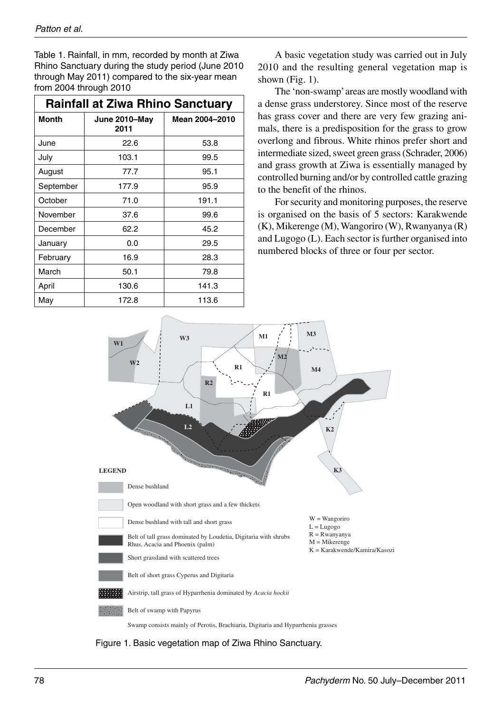Table 1. Rainfall, in mm, recorded by month at Ziwa Rhino Sanctuary during the study period (June 2010 through May 2011) compared to the six-year mean from 2004 through 2010

| <b>Rainfall at Ziwa Rhino Sanctuary</b> |                       |                |  |  |  |  |  |  |
|-----------------------------------------|-----------------------|----------------|--|--|--|--|--|--|
| <b>Month</b>                            | June 2010-May<br>2011 | Mean 2004-2010 |  |  |  |  |  |  |
| June                                    | 22.6                  | 53.8           |  |  |  |  |  |  |
| July                                    | 103.1                 | 99.5           |  |  |  |  |  |  |
| August                                  | 77.7                  | 95.1           |  |  |  |  |  |  |
| September                               | 177.9                 | 95.9           |  |  |  |  |  |  |
| October                                 | 71.0                  | 191.1          |  |  |  |  |  |  |
| November                                | 37.6                  | 99.6           |  |  |  |  |  |  |
| December                                | 62.2                  | 45.2           |  |  |  |  |  |  |
| January                                 | 0.0                   | 29.5           |  |  |  |  |  |  |
| February                                | 16.9                  | 28.3           |  |  |  |  |  |  |
| March                                   | 50.1                  | 79.8           |  |  |  |  |  |  |
| April                                   | 130.6                 | 141.3          |  |  |  |  |  |  |
| May                                     | 172.8                 | 113.6          |  |  |  |  |  |  |

A basic vegetation study was carried out in July 2010 and the resulting general vegetation map is shown (Fig. 1).

The 'non-swamp' areas are mostly woodland with a dense grass understorey. Since most of the reserve has grass cover and there are very few grazing animals, there is a predisposition for the grass to grow overlong and fibrous. White rhinos prefer short and intermediate sized, sweet green grass (Schrader, 2006) and grass growth at Ziwa is essentially managed by controlled burning and/or by controlled cattle grazing to the benefit of the rhinos.

For security and monitoring purposes, the reserve is organised on the basis of 5 sectors: Karakwende (K), Mikerenge (M), Wangoriro (W), Rwanyanya (R) and Lugogo (L). Each sector is further organised into numbered blocks of three or four per sector.



Figure 1. Basic vegetation map of Ziwa Rhino Sanctuary.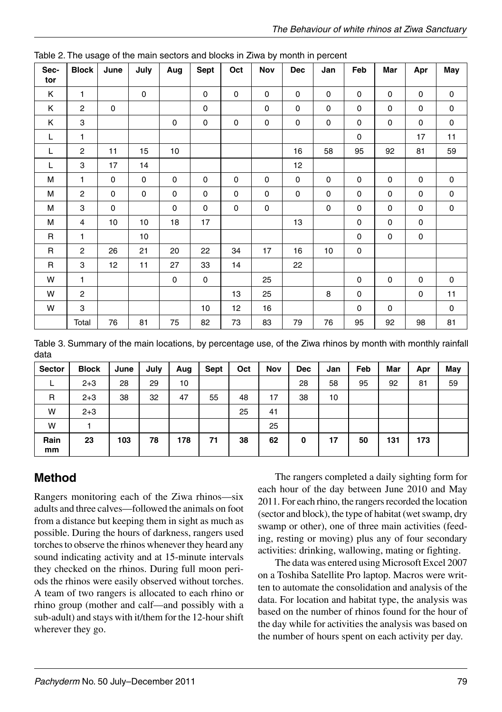| Sec-<br>tor  | <b>Block</b>            | June        | July                | Aug       | Sept        | Oct         | Nov | Dec         | Jan         | Feb         | Mar         | Apr         | May         |
|--------------|-------------------------|-------------|---------------------|-----------|-------------|-------------|-----|-------------|-------------|-------------|-------------|-------------|-------------|
| Κ            | $\mathbf{1}$            |             | $\mathsf{O}\xspace$ |           | $\mathsf 0$ | $\mathbf 0$ | 0   | 0           | $\pmb{0}$   | $\pmb{0}$   | $\pmb{0}$   | 0           | 0           |
| Κ            | $\mathbf{2}$            | 0           |                     |           | 0           |             | 0   | $\mathbf 0$ | $\mathbf 0$ | $\pmb{0}$   | $\pmb{0}$   | 0           | 0           |
| Κ            | 3                       |             |                     | $\pmb{0}$ | $\mathsf 0$ | $\mathsf 0$ | 0   | 0           | $\mathsf 0$ | $\pmb{0}$   | $\pmb{0}$   | $\mathsf 0$ | 0           |
| $\mathsf L$  | $\mathbf{1}$            |             |                     |           |             |             |     |             |             | $\pmb{0}$   |             | 17          | 11          |
| L            | 2                       | 11          | 15                  | 10        |             |             |     | 16          | 58          | 95          | 92          | 81          | 59          |
| L            | 3                       | 17          | 14                  |           |             |             |     | 12          |             |             |             |             |             |
| M            | $\mathbf{1}$            | $\mathsf 0$ | $\mathsf 0$         | 0         | $\mathsf 0$ | $\pmb{0}$   | 0   | $\mathsf 0$ | $\mathsf 0$ | $\pmb{0}$   | $\pmb{0}$   | 0           | 0           |
| M            | $\overline{\mathbf{c}}$ | 0           | $\mathbf 0$         | $\pmb{0}$ | 0           | $\mathsf 0$ | 0   | 0           | $\mathsf 0$ | $\pmb{0}$   | $\pmb{0}$   | $\pmb{0}$   | 0           |
| M            | 3                       | 0           |                     | 0         | 0           | $\mathbf 0$ | 0   |             | 0           | $\pmb{0}$   | 0           | 0           | 0           |
| M            | 4                       | 10          | $10$                | 18        | 17          |             |     | 13          |             | $\pmb{0}$   | 0           | 0           |             |
| R            | $\mathbf{1}$            |             | $10$                |           |             |             |     |             |             | 0           | 0           | 0           |             |
| $\mathsf R$  | 2                       | 26          | 21                  | 20        | 22          | 34          | 17  | 16          | 10          | $\pmb{0}$   |             |             |             |
| $\mathsf{R}$ | 3                       | 12          | 11                  | 27        | 33          | 14          |     | 22          |             |             |             |             |             |
| W            | $\mathbf{1}$            |             |                     | 0         | 0           |             | 25  |             |             | $\mathbf 0$ | $\mathbf 0$ | $\mathbf 0$ | $\mathbf 0$ |
| W            | $\mathbf{2}$            |             |                     |           |             | 13          | 25  |             | 8           | 0           |             | 0           | 11          |
| W            | 3                       |             |                     |           | 10          | 12          | 16  |             |             | 0           | $\mathbf 0$ |             | $\mathbf 0$ |
|              | Total                   | 76          | 81                  | 75        | 82          | 73          | 83  | 79          | 76          | 95          | 92          | 98          | 81          |

Table 2. The usage of the main sectors and blocks in Ziwa by month in percent

Table 3. Summary of the main locations, by percentage use, of the Ziwa rhinos by month with monthly rainfall data

| Sector     | <b>Block</b> | June | July | Aug | Sept | Oct | <b>Nov</b> | <b>Dec</b> | Jan | Feb | Mar | Apr | May |
|------------|--------------|------|------|-----|------|-----|------------|------------|-----|-----|-----|-----|-----|
|            | $2 + 3$      | 28   | 29   | 10  |      |     |            | 28         | 58  | 95  | 92  | 81  | 59  |
| R          | $2 + 3$      | 38   | 32   | 47  | 55   | 48  | 17         | 38         | 10  |     |     |     |     |
| W          | $2 + 3$      |      |      |     |      | 25  | 41         |            |     |     |     |     |     |
| W          |              |      |      |     |      |     | 25         |            |     |     |     |     |     |
| Rain<br>mm | 23           | 103  | 78   | 178 | 71   | 38  | 62         | 0          | 17  | 50  | 131 | 173 |     |

## **Method**

Rangers monitoring each of the Ziwa rhinos-six adults and three calves—followed the animals on foot from a distance but keeping them in sight as much as possible. During the hours of darkness, rangers used torches to observe the rhinos whenever they heard any sound indicating activity and at 15-minute intervals they checked on the rhinos. During full moon periods the rhinos were easily observed without torches. A team of two rangers is allocated to each rhino or rhino group (mother and calf-and possibly with a sub-adult) and stays with it/them for the 12-hour shift wherever they go.

The rangers completed a daily sighting form for each hour of the day between June 2010 and May 2011. For each rhino, the rangers recorded the location (sector and block), the type of habitat (wet swamp, dry swamp or other), one of three main activities (feeding, resting or moving) plus any of four secondary activities: drinking, wallowing, mating or fighting.

The data was entered using Microsoft Excel 2007 on a Toshiba Satellite Pro laptop. Macros were written to automate the consolidation and analysis of the data. For location and habitat type, the analysis was based on the number of rhinos found for the hour of the day while for activities the analysis was based on the number of hours spent on each activity per day.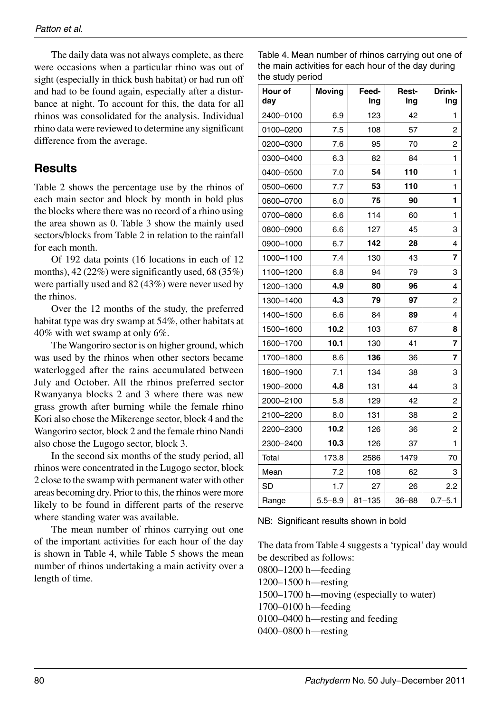The daily data was not always complete, as there were occasions when a particular rhino was out of sight (especially in thick bush habitat) or had run off and had to be found again, especially after a disturbance at night. To account for this, the data for all rhinos was consolidated for the analysis. Individual rhino data were reviewed to determine any significant difference from the average.

### **Results**

Table 2 shows the percentage use by the rhinos of each main sector and block by month in bold plus the blocks where there was no record of a rhino using the area shown as 0. Table 3 show the mainly used sectors/blocks from Table 2 in relation to the rainfall for each month.

Of 192 data points (16 locations in each of 12 months), 42 (22%) were significantly used, 68 (35%) were partially used and 82 (43%) were never used by the rhinos.

Over the 12 months of the study, the preferred habitat type was dry swamp at 54%, other habitats at 40% with wet swamp at only 6%.

The Wangoriro sector is on higher ground, which was used by the rhinos when other sectors became waterlogged after the rains accumulated between July and October. All the rhinos preferred sector Rwanyanya blocks 2 and 3 where there was new grass growth after burning while the female rhino Kori also chose the Mikerenge sector, block 4 and the Wangoriro sector, block 2 and the female rhino Nandi also chose the Lugogo sector, block 3.

In the second six months of the study period, all rhinos were concentrated in the Lugogo sector, block 2 close to the swamp with permanent water with other areas becoming dry. Prior to this, the rhinos were more likely to be found in different parts of the reserve where standing water was available.

The mean number of rhinos carrying out one of the important activities for each hour of the day is shown in Table 4, while Table 5 shows the mean number of rhinos undertaking a main activity over a length of time.

| Table 4. Mean number of rhinos carrying out one of  |
|-----------------------------------------------------|
| the main activities for each hour of the day during |
| the study period                                    |

| Hour of<br>day | <b>Moving</b> | Feed-<br>ing | Rest-<br>ing | Drink-<br>ing |
|----------------|---------------|--------------|--------------|---------------|
| 2400-0100      | 6.9           | 123          | 42           | 1             |
| 0100-0200      | 7.5           | 108          | 57           | 2             |
| 0200-0300      | 7.6           | 95           | 70           | 2             |
| 0300-0400      | 6.3           | 82           | 84           | 1             |
| 0400-0500      | 7.0           | 54           | 110          | 1             |
| 0500-0600      | 7.7           | 53           | 110          | 1             |
| 0600-0700      | 6.0           | 75           | 90           | 1             |
| 0700-0800      | 6.6           | 114          | 60           | 1             |
| 0800-0900      | 6.6           | 127          | 45           | 3             |
| 0900-1000      | 6.7           | 142          | 28           | 4             |
| 1000-1100      | 7.4           | 130          | 43           | 7             |
| 1100-1200      | 6.8           | 94           | 79           | 3             |
| 1200-1300      | 4.9           | 80           | 96           | 4             |
| 1300-1400      | 4.3           | 79           | 97           | 2             |
| 1400-1500      | 6.6           | 84           | 89           | 4             |
| 1500-1600      | 10.2          | 103          | 67           | 8             |
| 1600-1700      | 10.1          | 130          | 41           | 7             |
| 1700-1800      | 8.6           | 136          | 36           | 7             |
| 1800-1900      | 7.1           | 134          | 38           | 3             |
| 1900-2000      | 4.8           | 131          | 44           | 3             |
| 2000-2100      | 5.8           | 129          | 42           | 2             |
| 2100-2200      | 8.0           | 131          | 38           | 2             |
| 2200-2300      | 10.2          | 126          | 36           | 2             |
| 2300-2400      | 10.3          | 126          | 37           | 1             |
| Total          | 173.8         | 2586         | 1479         | 70            |
| Mean           | 7.2           | 108          | 62           | 3             |
| <b>SD</b>      | 1.7           | 27           | 26           | 2.2           |
| Range          | $5.5 - 8.9$   | $81 - 135$   | 36-88        | $0.7 - 5.1$   |

NB: Significant results shown in bold

The data from Table 4 suggests a 'typical' day would be described as follows:

0800-1200 h-feeding  $1200 - 1500$  h—resting 1500–1700 h—moving (especially to water) 1700–0100 h-feeding  $0100-0400$  h—resting and feeding 0400-0800 h-resting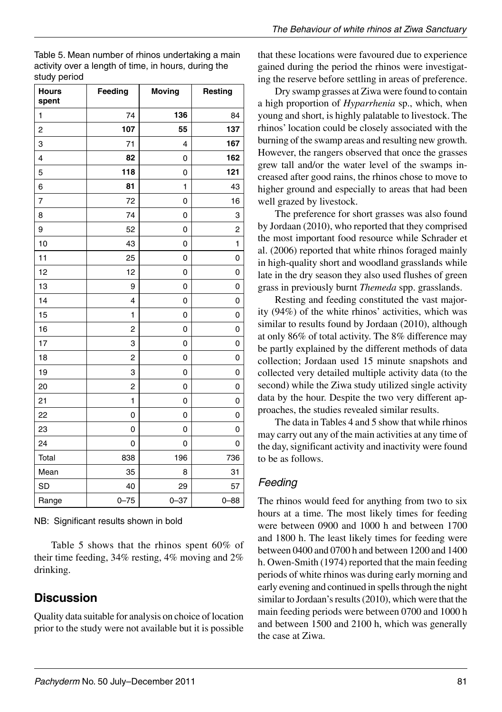| <b>Hours</b><br>spent | Feeding                 | <b>Moving</b> | Resting  |
|-----------------------|-------------------------|---------------|----------|
| 1                     | 74                      | 136           | 84       |
| 2                     | 107                     | 55            | 137      |
| 3                     | 71                      | 4             | 167      |
| 4                     | 82                      | 0             | 162      |
| 5                     | 118                     | 0             | 121      |
| 6                     | 81                      | 1             | 43       |
| 7                     | 72                      | 0             | 16       |
| 8                     | 74                      | 0             | 3        |
| 9                     | 52                      | 0             | 2        |
| 10                    | 43                      | 0             | 1        |
| 11                    | 25                      | 0             | 0        |
| 12                    | 12                      | 0             | 0        |
| 13                    | 9                       | 0             | 0        |
| 14                    | $\overline{4}$          | 0             | 0        |
| 15                    | 1                       | 0             | 0        |
| 16                    | $\overline{\mathbf{c}}$ | 0             | 0        |
| 17                    | 3                       | 0             | 0        |
| 18                    | $\overline{\mathbf{c}}$ | 0             | 0        |
| 19                    | 3                       | 0             | 0        |
| 20                    | 2                       | 0             | 0        |
| 21                    | 1                       | 0             | 0        |
| 22                    | 0                       | 0             | 0        |
| 23                    | 0                       | 0             | 0        |
| 24                    | 0                       | 0             | 0        |
| Total                 | 838                     | 196           | 736      |
| Mean                  | 35                      | 8             | 31       |
| <b>SD</b>             | 40                      | 29            | 57       |
| Range                 | $0 - 75$                | $0 - 37$      | $0 - 88$ |

Table 5. Mean number of rhinos undertaking a main activity over a length of time, in hours, during the study period

NB: Significant results shown in bold

Table 5 shows that the rhinos spent 60% of their time feeding, 34% resting, 4% moving and 2% drinking.

#### **Discussion**

Quality data suitable for analysis on choice of location prior to the study were not available but it is possible that these locations were favoured due to experience gained during the period the rhinos were investigating the reserve before settling in areas of preference.

Dry swamp grasses at Ziwa were found to contain a high proportion of *Hyparrhenia* sp., which, when young and short, is highly palatable to livestock. The rhinos' location could be closely associated with the burning of the swamp areas and resulting new growth. However, the rangers observed that once the grasses grew tall and/or the water level of the swamps increased after good rains, the rhinos chose to move to higher ground and especially to areas that had been well grazed by livestock.

The preference for short grasses was also found by Jordaan (2010), who reported that they comprised the most important food resource while Schrader et al. (2006) reported that white rhinos foraged mainly in high-quality short and woodland grasslands while late in the dry season they also used flushes of green grass in previously burnt *Themeda* spp. grasslands.

Resting and feeding constituted the vast majority  $(94\%)$  of the white rhinos' activities, which was similar to results found by Jordaan (2010), although at only 86% of total activity. The 8% difference may be partly explained by the different methods of data collection; Jordaan used 15 minute snapshots and collected very detailed multiple activity data (to the second) while the Ziwa study utilized single activity data by the hour. Despite the two very different approaches, the studies revealed similar results.

The data in Tables 4 and 5 show that while rhinos may carry out any of the main activities at any time of the day, significant activity and inactivity were found to be as follows.

#### *Feeding*

The rhinos would feed for anything from two to six hours at a time. The most likely times for feeding were between 0900 and 1000 h and between 1700 and 1800 h. The least likely times for feeding were between 0400 and 0700 h and between 1200 and 1400 h. Owen-Smith (1974) reported that the main feeding periods of white rhinos was during early morning and early evening and continued in spells through the night similar to Jordaan's results  $(2010)$ , which were that the main feeding periods were between 0700 and 1000 h and between 1500 and 2100 h, which was generally the case at Ziwa.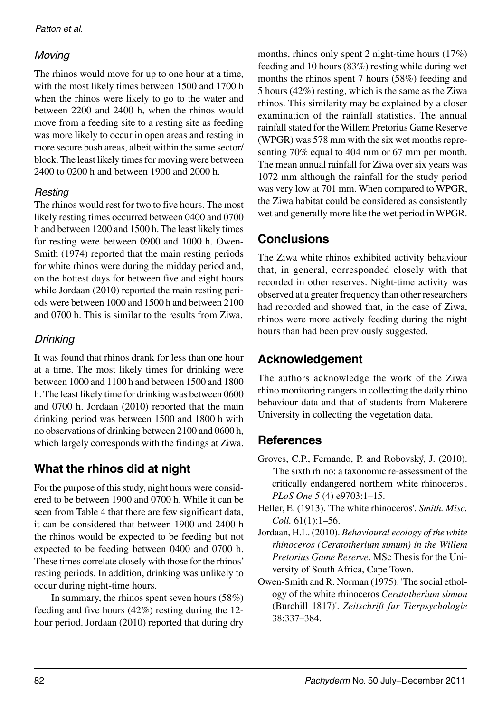## *Moving*

The rhinos would move for up to one hour at a time, with the most likely times between 1500 and 1700 h when the rhinos were likely to go to the water and between 2200 and 2400 h, when the rhinos would move from a feeding site to a resting site as feeding was more likely to occur in open areas and resting in more secure bush areas, albeit within the same sector/ block. The least likely times for moving were between 2400 to 0200 h and between 1900 and 2000 h.

## *Resting*

The rhinos would rest for two to five hours. The most likely resting times occurred between 0400 and 0700 h and between 1200 and 1500 h. The least likely times for resting were between 0900 and 1000 h. Owen-Smith (1974) reported that the main resting periods for white rhinos were during the midday period and, on the hottest days for between five and eight hours while Jordaan (2010) reported the main resting periods were between 1000 and 1500 h and between 2100 and 0700 h. This is similar to the results from Ziwa.

## *Drinking*

It was found that rhinos drank for less than one hour at a time. The most likely times for drinking were between 1000 and 1100 h and between 1500 and 1800 h. The least likely time for drinking was between 0600 and 0700 h. Jordaan (2010) reported that the main drinking period was between 1500 and 1800 h with no observations of drinking between 2100 and 0600 h, which largely corresponds with the findings at Ziwa.

# **What the rhinos did at night**

For the purpose of this study, night hours were considered to be between 1900 and 0700 h. While it can be seen from Table 4 that there are few significant data, it can be considered that between 1900 and 2400 h the rhinos would be expected to be feeding but not expected to be feeding between 0400 and 0700 h. These times correlate closely with those for the rhinos' resting periods. In addition, drinking was unlikely to occur during night-time hours.

In summary, the rhinos spent seven hours (58%) feeding and five hours (42%) resting during the 12 hour period. Jordaan (2010) reported that during dry

months, rhinos only spent 2 night-time hours (17%) feeding and 10 hours (83%) resting while during wet months the rhinos spent 7 hours (58%) feeding and 5 hours (42%) resting, which is the same as the Ziwa rhinos. This similarity may be explained by a closer examination of the rainfall statistics. The annual rainfall stated for the Willem Pretorius Game Reserve (WPGR) was 578 mm with the six wet months representing 70% equal to 404 mm or 67 mm per month. The mean annual rainfall for Ziwa over six years was 1072 mm although the rainfall for the study period was very low at 701 mm. When compared to WPGR, the Ziwa habitat could be considered as consistently wet and generally more like the wet period in WPGR.

## **Conclusions**

The Ziwa white rhinos exhibited activity behaviour that, in general, corresponded closely with that recorded in other reserves. Night-time activity was observed at a greater frequency than other researchers had recorded and showed that, in the case of Ziwa, rhinos were more actively feeding during the night hours than had been previously suggested.

# **Acknowledgement**

The authors acknowledge the work of the Ziwa rhino monitoring rangers in collecting the daily rhino behaviour data and that of students from Makerere University in collecting the vegetation data.

# **References**

- Groves, C.P., Fernando, P. and Robovsky, J. (2010). 'The sixth rhino: a taxonomic re-assessment of the critically endangered northern white rhinoceros'. *PLoS One 5* (4) e9703:1–15.
- Heller, E. (1913). 'The white rhinoceros'. *Smith. Misc. Coll.* 61(1):1–56.
- Jordaan, H.L. (2010). *Behavioural ecology of the white rhinoceros (Ceratotherium simum) in the Willem Pretorius Game Reserve*. MSc Thesis for the University of South Africa, Cape Town.
- Owen-Smith and R. Norman (1975). 'The social ethology of the white rhinoceros *Ceratotherium simum* (Burchill 1817)'. *Zeitschrift fur Tierpsychologie* 38:337–384.